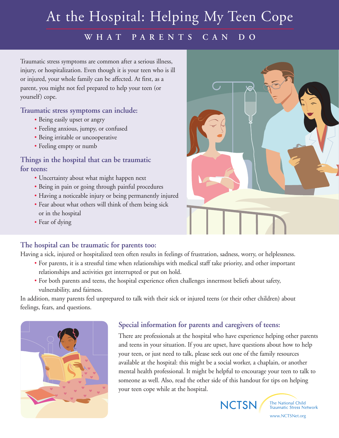# At the Hospital: Helping My Teen Cope

### **WHAT PARENTS CAN DO**

Traumatic stress symptoms are common after a serious illness, injury, or hospitalization. Even though it is your teen who is ill or injured, your whole family can be affected. At first, as a parent, you might not feel prepared to help your teen (or yourself) cope.

#### **Traumatic stress symptoms can include:**

- **•** Being easily upset or angry
- **•** Feeling anxious, jumpy, or confused
- **•** Being irritable or uncooperative
- **•** Feeling empty or numb

#### **Things in the hospital that can be traumatic for teens:**

- **•** Uncertainty about what might happen next
- **•** Being in pain or going through painful procedures
- **•** Having a noticeable injury or being permanently injured
- **•** Fear about what others will think of them being sick or in the hospital
- **•** Fear of dying

#### **The hospital can be traumatic for parents too:**

Having a sick, injured or hospitalized teen often results in feelings of frustration, sadness, worry, or helplessness.

- **•** For parents, it is a stressful time when relationships with medical staff take priority, and other important relationships and activities get interrupted or put on hold.
- **•** For both parents and teens, the hospital experience often challenges innermost beliefs about safety, vulnerability, and fairness.

In addition, many parents feel unprepared to talk with their sick or injured teens (or their other children) about feelings, fears, and questions.



#### **Special information for parents and caregivers of teens:**

There are professionals at the hospital who have experience helping other parents and teens in your situation. If you are upset, have questions about how to help your teen, or just need to talk, please seek out one of the family resources available at the hospital: this might be a social worker, a chaplain, or another mental health professional. It might be helpful to encourage your teen to talk to someone as well. Also, read the other side of this handout for tips on helping your teen cope while at the hospital.



The National Child **Traumatic Stress Network** 

www.NCTSNet.org